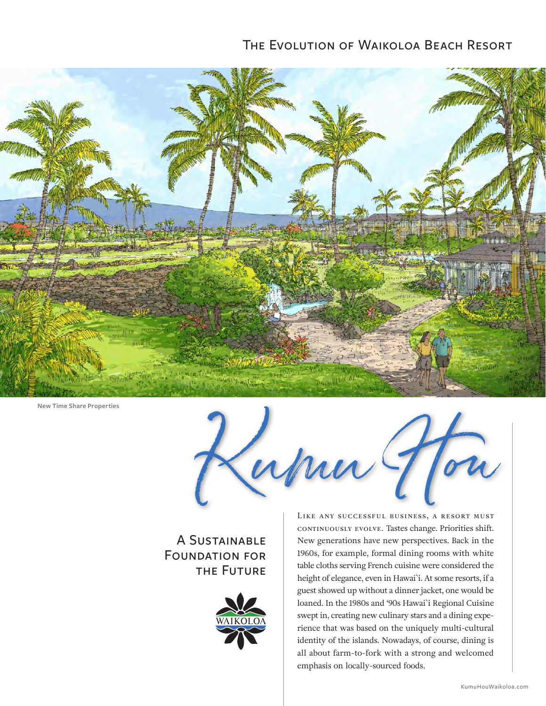## The Evolution of Waikoloa Beach Resort



**New Time Share Properties**

Kumu Hou

## A SUSTAINABLE Foundation for the Future



Like any successful business, a resort must continuously evolve. Tastes change. Priorities shift. New generations have new perspectives. Back in the 1960s, for example, formal dining rooms with white table cloths serving French cuisine were considered the height of elegance, even in Hawai`i. At some resorts, if a guest showed up without a dinner jacket, one would be loaned. In the 1980s and '90s Hawai`i Regional Cuisine swept in, creating new culinary stars and a dining experience that was based on the uniquely multi-cultural identity of the islands. Nowadays, of course, dining is all about farm-to-fork with a strong and welcomed emphasis on locally-sourced foods.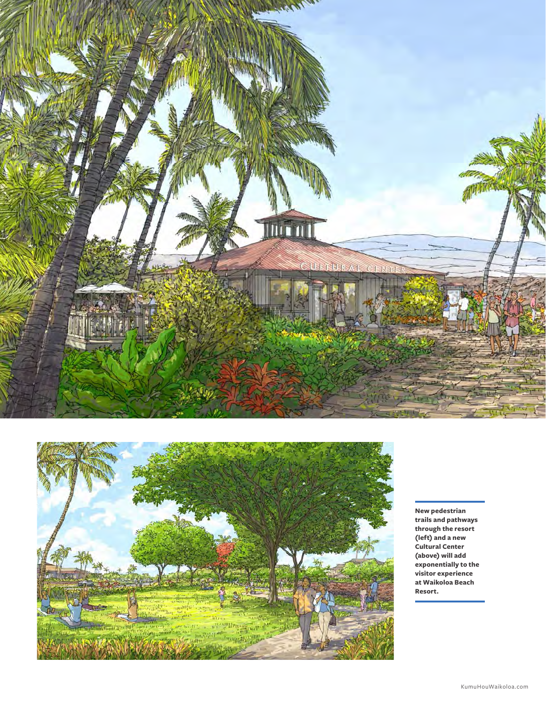



**New pedestrian trails and pathways through the resort (left) and a new Cultural Center (above) will add exponentially to the visitor experience at Waikoloa Beach Resort.**